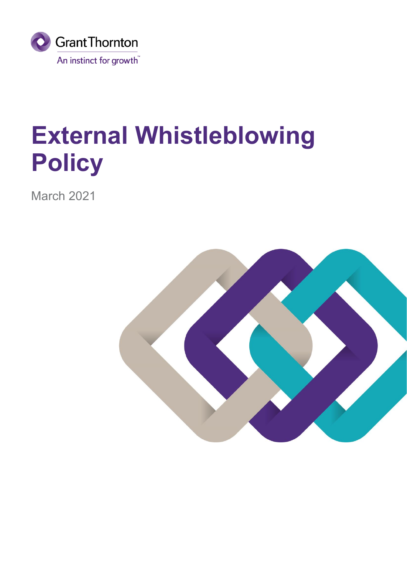

# **External Whistleblowing Policy**

March 2021

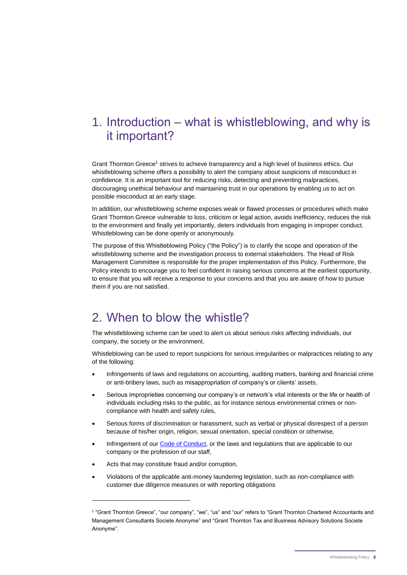# 1. Introduction – what is whistleblowing, and why is it important?

Grant Thornton Greece<sup>1</sup> strives to achieve transparency and a high level of business ethics. Our whistleblowing scheme offers a possibility to alert the company about suspicions of misconduct in confidence. It is an important tool for reducing risks, detecting and preventing malpractices, discouraging unethical behaviour and maintaining trust in our operations by enabling us to act on possible misconduct at an early stage.

In addition, our whistleblowing scheme exposes weak or flawed processes or procedures which make Grant Thornton Greece vulnerable to loss, criticism or legal action, avoids inefficiency, reduces the risk to the environment and finally yet importantly, deters individuals from engaging in improper conduct. Whistleblowing can be done openly or anonymously.

The purpose of this Whistleblowing Policy ("the Policy") is to clarify the scope and operation of the whistleblowing scheme and the investigation process to external stakeholders. The Head of Risk Management Committee is responsible for the proper implementation of this Policy. Furthermore, the Policy intends to encourage you to feel confident in raising serious concerns at the earliest opportunity, to ensure that you will receive a response to your concerns and that you are aware of how to pursue them if you are not satisfied.

# 2. When to blow the whistle?

The whistleblowing scheme can be used to alert us about serious risks affecting individuals, our company, the society or the environment.

Whistleblowing can be used to report suspicions for serious irregularities or malpractices relating to any of the following:

- Infringements of laws and regulations on accounting, auditing matters, banking and financial crime or anti-bribery laws, such as misappropriation of company's or clients' assets,
- Serious improprieties concerning our company's or network's vital interests or the life or health of individuals including risks to the public, as for instance serious environmental crimes or noncompliance with health and safety rules,
- Serious forms of discrimination or harassment, such as verbal or physical disrespect of a person because of his/her origin, religion, sexual orientation, special condition or otherwise,
- Infringement of our [Code of Conduct,](https://www.grant-thornton.gr/globalassets/1.-member-firms/greece/about-us/code-of-conduct_grant-thornton-greece_2021.pdf) or the laws and regulations that are applicable to our company or the profession of our staff,
- Acts that may constitute fraud and/or corruption,

-

• Violations of the applicable anti-money laundering legislation, such as non-compliance with customer due diligence measures or with reporting obligations

<sup>1</sup> "Grant Thornton Greece", "our company", "we", "us" and "our" refers to "Grant Thornton Chartered Accountants and Management Consultants Societe Anonyme" and "Grant Thornton Tax and Business Advisory Solutions Societe Anonyme".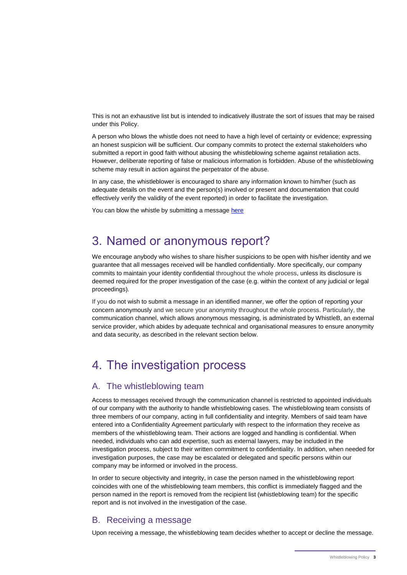This is not an exhaustive list but is intended to indicatively illustrate the sort of issues that may be raised under this Policy.

A person who blows the whistle does not need to have a high level of certainty or evidence; expressing an honest suspicion will be sufficient. Our company commits to protect the external stakeholders who submitted a report in good faith without abusing the whistleblowing scheme against retaliation acts. However, deliberate reporting of false or malicious information is forbidden. Abuse of the whistleblowing scheme may result in action against the perpetrator of the abuse.

In any case, the whistleblower is encouraged to share any information known to him/her (such as adequate details on the event and the person(s) involved or present and documentation that could effectively verify the validity of the event reported) in order to facilitate the investigation.

You can blow the whistle by submitting a message [here](https://report.whistleb.com/en/gtgreeceext)

## 3. Named or anonymous report?

We encourage anybody who wishes to share his/her suspicions to be open with his/her identity and we guarantee that all messages received will be handled confidentially. More specifically, our company commits to maintain your identity confidential throughout the whole process, unless its disclosure is deemed required for the proper investigation of the case (e.g. within the context of any judicial or legal proceedings).

If you do not wish to submit a message in an identified manner, we offer the option of reporting your concern anonymously and we secure your anonymity throughout the whole process. Particularly, the communication channel, which allows anonymous messaging, is administrated by WhistleB, an external service provider, which abides by adequate technical and organisational measures to ensure anonymity and data security, as described in the relevant section below.

# 4. The investigation process

#### A. The whistleblowing team

Access to messages received through the communication channel is restricted to appointed individuals of our company with the authority to handle whistleblowing cases. The whistleblowing team consists of three members of our company, acting in full confidentiality and integrity. Members of said team have entered into a Confidentiality Agreement particularly with respect to the information they receive as members of the whistleblowing team. Their actions are logged and handling is confidential. When needed, individuals who can add expertise, such as external lawyers, may be included in the investigation process, subject to their written commitment to confidentiality. In addition, when needed for investigation purposes, the case may be escalated or delegated and specific persons within our company may be informed or involved in the process.

In order to secure objectivity and integrity, in case the person named in the whistleblowing report coincides with one of the whistleblowing team members, this conflict is immediately flagged and the person named in the report is removed from the recipient list (whistleblowing team) for the specific report and is not involved in the investigation of the case.

#### B. Receiving a message

Upon receiving a message, the whistleblowing team decides whether to accept or decline the message.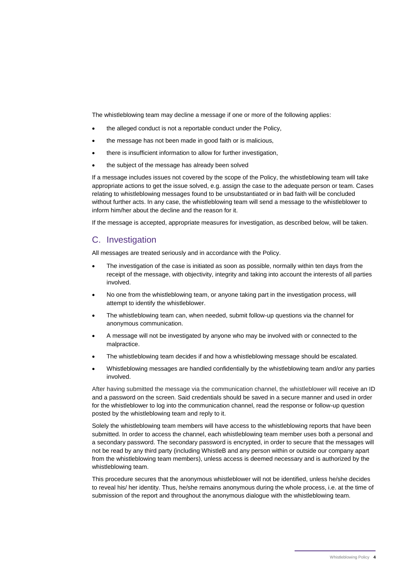The whistleblowing team may decline a message if one or more of the following applies:

- the alleged conduct is not a reportable conduct under the Policy,
- the message has not been made in good faith or is malicious,
- there is insufficient information to allow for further investigation,
- the subject of the message has already been solved

If a message includes issues not covered by the scope of the Policy, the whistleblowing team will take appropriate actions to get the issue solved, e.g. assign the case to the adequate person or team. Cases relating to whistleblowing messages found to be unsubstantiated or in bad faith will be concluded without further acts. In any case, the whistleblowing team will send a message to the whistleblower to inform him/her about the decline and the reason for it.

If the message is accepted, appropriate measures for investigation, as described below, will be taken.

#### C. Investigation

All messages are treated seriously and in accordance with the Policy.

- The investigation of the case is initiated as soon as possible, normally within ten days from the receipt of the message, with objectivity, integrity and taking into account the interests of all parties involved.
- No one from the whistleblowing team, or anyone taking part in the investigation process, will attempt to identify the whistleblower.
- The whistleblowing team can, when needed, submit follow-up questions via the channel for anonymous communication.
- A message will not be investigated by anyone who may be involved with or connected to the malpractice.
- The whistleblowing team decides if and how a whistleblowing message should be escalated.
- Whistleblowing messages are handled confidentially by the whistleblowing team and/or any parties involved.

After having submitted the message via the communication channel, the whistleblower will receive an ID and a password on the screen. Said credentials should be saved in a secure manner and used in order for the whistleblower to log into the communication channel, read the response or follow-up question posted by the whistleblowing team and reply to it.

Solely the whistleblowing team members will have access to the whistleblowing reports that have been submitted. In order to access the channel, each whistleblowing team member uses both a personal and a secondary password. The secondary password is encrypted, in order to secure that the messages will not be read by any third party (including WhistleB and any person within or outside our company apart from the whistleblowing team members), unless access is deemed necessary and is authorized by the whistleblowing team.

This procedure secures that the anonymous whistleblower will not be identified, unless he/she decides to reveal his/ her identity. Thus, he/she remains anonymous during the whole process, i.e. at the time of submission of the report and throughout the anonymous dialogue with the whistleblowing team.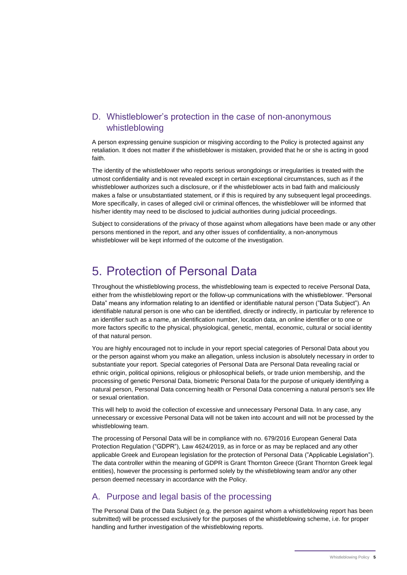## D. Whistleblower's protection in the case of non-anonymous whistleblowing

A person expressing genuine suspicion or misgiving according to the Policy is protected against any retaliation. It does not matter if the whistleblower is mistaken, provided that he or she is acting in good faith.

The identity of the whistleblower who reports serious wrongdoings or irregularities is treated with the utmost confidentiality and is not revealed except in certain exceptional circumstances, such as if the whistleblower authorizes such a disclosure, or if the whistleblower acts in bad faith and maliciously makes a false or unsubstantiated statement, or if this is required by any subsequent legal proceedings. More specifically, in cases of alleged civil or criminal offences, the whistleblower will be informed that his/her identity may need to be disclosed to judicial authorities during judicial proceedings.

Subject to considerations of the privacy of those against whom allegations have been made or any other persons mentioned in the report, and any other issues of confidentiality, a non-anonymous whistleblower will be kept informed of the outcome of the investigation.

## 5. Protection of Personal Data

Throughout the whistleblowing process, the whistleblowing team is expected to receive Personal Data, either from the whistleblowing report or the follow-up communications with the whistleblower. "Personal Data" means any information relating to an identified or identifiable natural person ("Data Subject"). An identifiable natural person is one who can be identified, directly or indirectly, in particular by reference to an identifier such as a name, an identification number, location data, an online identifier or to one or more factors specific to the physical, physiological, genetic, mental, economic, cultural or social identity of that natural person.

You are highly encouraged not to include in your report special categories of Personal Data about you or the person against whom you make an allegation, unless inclusion is absolutely necessary in order to substantiate your report. Special categories of Personal Data are Personal Data revealing racial or ethnic origin, political opinions, religious or philosophical beliefs, or trade union membership, and the processing of genetic Personal Data, biometric Personal Data for the purpose of uniquely identifying a natural person, Personal Data concerning health or Personal Data concerning a natural person's sex life or sexual orientation.

This will help to avoid the collection of excessive and unnecessary Personal Data. In any case, any unnecessary or excessive Personal Data will not be taken into account and will not be processed by the whistleblowing team.

The processing of Personal Data will be in compliance with no. 679/2016 European General Data Protection Regulation ("GDPR"), Law 4624/2019, as in force or as may be replaced and any other applicable Greek and European legislation for the protection of Personal Data ("Applicable Legislation"). The data controller within the meaning of GDPR is Grant Thornton Greece (Grant Thornton Greek legal entities), however the processing is performed solely by the whistleblowing team and/or any other person deemed necessary in accordance with the Policy.

### A. Purpose and legal basis of the processing

The Personal Data of the Data Subject (e.g. the person against whom a whistleblowing report has been submitted) will be processed exclusively for the purposes of the whistleblowing scheme, i.e. for proper handling and further investigation of the whistleblowing reports.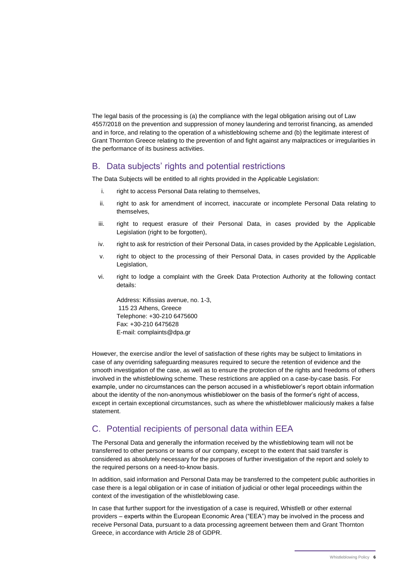The legal basis of the processing is (a) the compliance with the legal obligation arising out of Law 4557/2018 on the prevention and suppression of money laundering and terrorist financing, as amended and in force, and relating to the operation of a whistleblowing scheme and (b) the legitimate interest of Grant Thornton Greece relating to the prevention of and fight against any malpractices or irregularities in the performance of its business activities.

#### B. Data subjects' rights and potential restrictions

The Data Subjects will be entitled to all rights provided in the Applicable Legislation:

- i. right to access Personal Data relating to themselves,
- ii. right to ask for amendment of incorrect, inaccurate or incomplete Personal Data relating to themselves,
- iii. right to request erasure of their Personal Data, in cases provided by the Applicable Legislation (right to be forgotten),
- iv. right to ask for restriction of their Personal Data, in cases provided by the Applicable Legislation,
- v. right to object to the processing of their Personal Data, in cases provided by the Applicable Legislation,
- vi. right to lodge a complaint with the Greek Data Protection Authority at the following contact details:

Address: Kifissias avenue, no. 1-3, 115 23 Athens, Greece Telephone: +30-210 6475600 Fax: +30-210 6475628 E-mail: complaints@dpa.gr

However, the exercise and/or the level of satisfaction of these rights may be subject to limitations in case of any overriding safeguarding measures required to secure the retention of evidence and the smooth investigation of the case, as well as to ensure the protection of the rights and freedoms of others involved in the whistleblowing scheme. These restrictions are applied on a case-by-case basis. For example, under no circumstances can the person accused in a whistleblower's report obtain information about the identity of the non-anonymous whistleblower on the basis of the former's right of access, except in certain exceptional circumstances, such as where the whistleblower maliciously makes a false statement.

### C. Potential recipients of personal data within EEA

The Personal Data and generally the information received by the whistleblowing team will not be transferred to other persons or teams of our company, except to the extent that said transfer is considered as absolutely necessary for the purposes of further investigation of the report and solely to the required persons on a need-to-know basis.

In addition, said information and Personal Data may be transferred to the competent public authorities in case there is a legal obligation or in case of initiation of judicial or other legal proceedings within the context of the investigation of the whistleblowing case.

In case that further support for the investigation of a case is required, WhistleB or other external providers – experts within the European Economic Area ("EEA") may be involved in the process and receive Personal Data, pursuant to a data processing agreement between them and Grant Thornton Greece, in accordance with Article 28 of GDPR.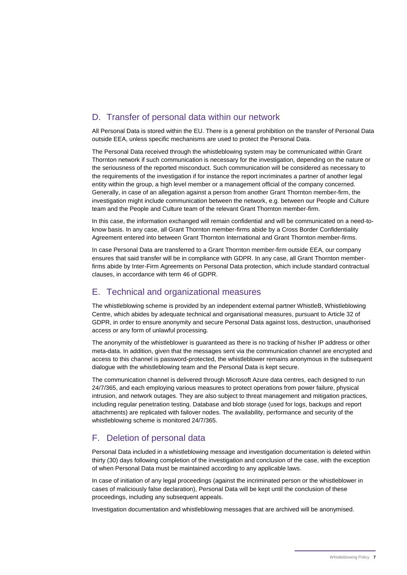## D. Transfer of personal data within our network

All Personal Data is stored within the EU. There is a general prohibition on the transfer of Personal Data outside EEA, unless specific mechanisms are used to protect the Personal Data.

The Personal Data received through the whistleblowing system may be communicated within Grant Thornton network if such communication is necessary for the investigation, depending on the nature or the seriousness of the reported misconduct. Such communication will be considered as necessary to the requirements of the investigation if for instance the report incriminates a partner of another legal entity within the group, a high level member or a management official of the company concerned. Generally, in case of an allegation against a person from another Grant Thornton member-firm, the investigation might include communication between the network, e.g. between our People and Culture team and the People and Culture team of the relevant Grant Thornton member-firm.

In this case, the information exchanged will remain confidential and will be communicated on a need-toknow basis. In any case, all Grant Thornton member-firms abide by a Cross Border Confidentiality Agreement entered into between Grant Thornton International and Grant Thornton member-firms.

In case Personal Data are transferred to a Grant Thornton member-firm outside EEA, our company ensures that said transfer will be in compliance with GDPR. In any case, all Grant Thornton memberfirms abide by Inter-Firm Agreements on Personal Data protection, which include standard contractual clauses, in accordance with term 46 of GDPR.

#### E. Technical and organizational measures

The whistleblowing scheme is provided by an independent external partner WhistleB, Whistleblowing Centre, which abides by adequate technical and organisational measures, pursuant to Article 32 of GDPR, in order to ensure anonymity and secure Personal Data against loss, destruction, unauthorised access or any form of unlawful processing.

The anonymity of the whistleblower is guaranteed as there is no tracking of his/her IP address or other meta-data. In addition, given that the messages sent via the communication channel are encrypted and access to this channel is password-protected, the whistleblower remains anonymous in the subsequent dialogue with the whistleblowing team and the Personal Data is kept secure.

The communication channel is delivered through Microsoft Azure data centres, each designed to run 24/7/365, and each employing various measures to protect operations from power failure, physical intrusion, and network outages. They are also subject to threat management and mitigation practices, including regular penetration testing. Database and blob storage (used for logs, backups and report attachments) are replicated with failover nodes. The availability, performance and security of the whistleblowing scheme is monitored 24/7/365.

### F. Deletion of personal data

Personal Data included in a whistleblowing message and investigation documentation is deleted within thirty (30) days following completion of the investigation and conclusion of the case, with the exception of when Personal Data must be maintained according to any applicable laws.

In case of initiation of any legal proceedings (against the incriminated person or the whistleblower in cases of maliciously false declaration), Personal Data will be kept until the conclusion of these proceedings, including any subsequent appeals.

Investigation documentation and whistleblowing messages that are archived will be anonymised.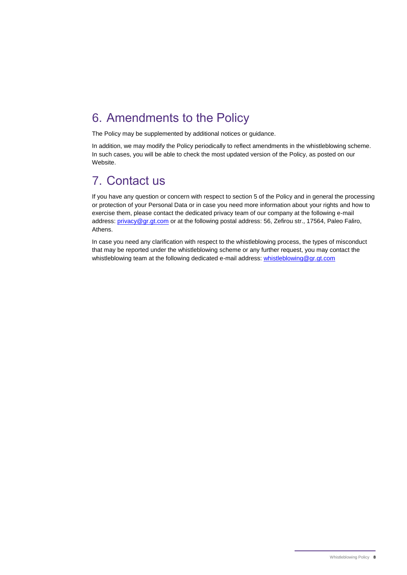# 6. Amendments to the Policy

The Policy may be supplemented by additional notices or guidance.

In addition, we may modify the Policy periodically to reflect amendments in the whistleblowing scheme. In such cases, you will be able to check the most updated version of the Policy, as posted on our Website.

# 7. Contact us

If you have any question or concern with respect to section 5 of the Policy and in general the processing or protection of your Personal Data or in case you need more information about your rights and how to exercise them, please contact the dedicated privacy team of our company at the following e-mail address[: privacy@gr.gt.com](mailto:privacy@gr.gt.com) or at the following postal address: 56, Zefirou str., 17564, Paleo Faliro, Athens.

In case you need any clarification with respect to the whistleblowing process, the types of misconduct that may be reported under the whistleblowing scheme or any further request, you may contact the whistleblowing team at the following dedicated e-mail address: [whistleblowing@gr.gt.com](mailto:whistleblowing@gr.gt.com)